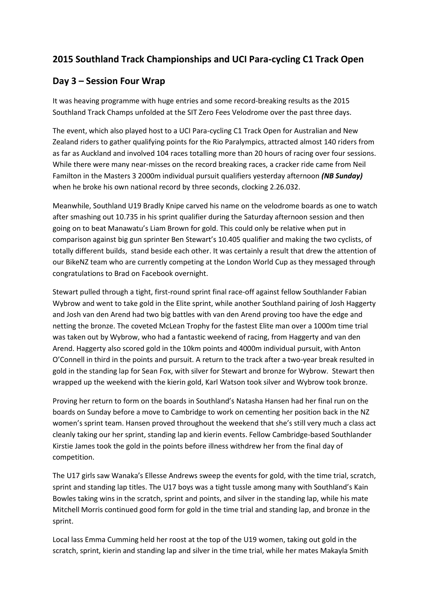## **2015 Southland Track Championships and UCI Para-cycling C1 Track Open**

## **Day 3 – Session Four Wrap**

It was heaving programme with huge entries and some record-breaking results as the 2015 Southland Track Champs unfolded at the SIT Zero Fees Velodrome over the past three days.

The event, which also played host to a UCI Para-cycling C1 Track Open for Australian and New Zealand riders to gather qualifying points for the Rio Paralympics, attracted almost 140 riders from as far as Auckland and involved 104 races totalling more than 20 hours of racing over four sessions. While there were many near-misses on the record breaking races, a cracker ride came from Neil Familton in the Masters 3 2000m individual pursuit qualifiers yesterday afternoon *(NB Sunday)* when he broke his own national record by three seconds, clocking 2.26.032.

Meanwhile, Southland U19 Bradly Knipe carved his name on the velodrome boards as one to watch after smashing out 10.735 in his sprint qualifier during the Saturday afternoon session and then going on to beat Manawatu's Liam Brown for gold. This could only be relative when put in comparison against big gun sprinter Ben Stewart's 10.405 qualifier and making the two cyclists, of totally different builds, stand beside each other. It was certainly a result that drew the attention of our BikeNZ team who are currently competing at the London World Cup as they messaged through congratulations to Brad on Facebook overnight.

Stewart pulled through a tight, first-round sprint final race-off against fellow Southlander Fabian Wybrow and went to take gold in the Elite sprint, while another Southland pairing of Josh Haggerty and Josh van den Arend had two big battles with van den Arend proving too have the edge and netting the bronze. The coveted McLean Trophy for the fastest Elite man over a 1000m time trial was taken out by Wybrow, who had a fantastic weekend of racing, from Haggerty and van den Arend. Haggerty also scored gold in the 10km points and 4000m individual pursuit, with Anton O'Connell in third in the points and pursuit. A return to the track after a two-year break resulted in gold in the standing lap for Sean Fox, with silver for Stewart and bronze for Wybrow. Stewart then wrapped up the weekend with the kierin gold, Karl Watson took silver and Wybrow took bronze.

Proving her return to form on the boards in Southland's Natasha Hansen had her final run on the boards on Sunday before a move to Cambridge to work on cementing her position back in the NZ women's sprint team. Hansen proved throughout the weekend that she's still very much a class act cleanly taking our her sprint, standing lap and kierin events. Fellow Cambridge-based Southlander Kirstie James took the gold in the points before illness withdrew her from the final day of competition.

The U17 girls saw Wanaka's Ellesse Andrews sweep the events for gold, with the time trial, scratch, sprint and standing lap titles. The U17 boys was a tight tussle among many with Southland's Kain Bowles taking wins in the scratch, sprint and points, and silver in the standing lap, while his mate Mitchell Morris continued good form for gold in the time trial and standing lap, and bronze in the sprint.

Local lass Emma Cumming held her roost at the top of the U19 women, taking out gold in the scratch, sprint, kierin and standing lap and silver in the time trial, while her mates Makayla Smith